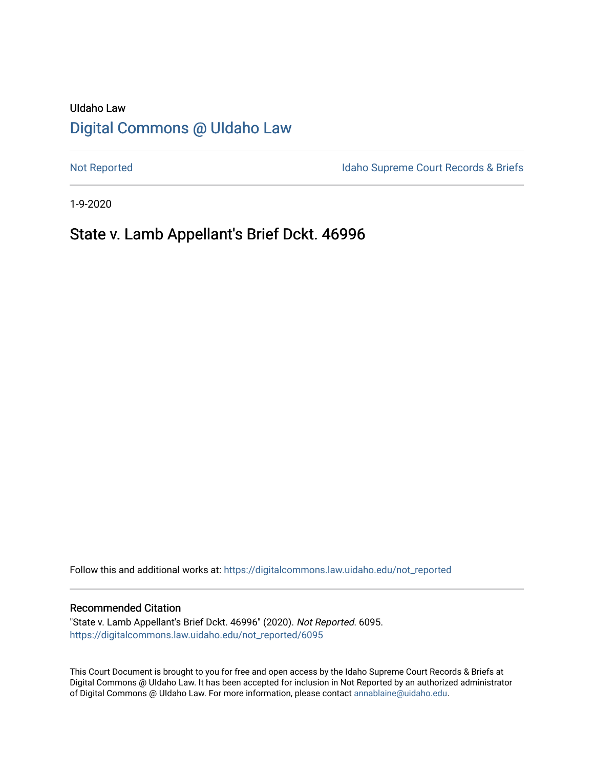# UIdaho Law [Digital Commons @ UIdaho Law](https://digitalcommons.law.uidaho.edu/)

[Not Reported](https://digitalcommons.law.uidaho.edu/not_reported) **Idaho Supreme Court Records & Briefs** 

1-9-2020

## State v. Lamb Appellant's Brief Dckt. 46996

Follow this and additional works at: [https://digitalcommons.law.uidaho.edu/not\\_reported](https://digitalcommons.law.uidaho.edu/not_reported?utm_source=digitalcommons.law.uidaho.edu%2Fnot_reported%2F6095&utm_medium=PDF&utm_campaign=PDFCoverPages) 

#### Recommended Citation

"State v. Lamb Appellant's Brief Dckt. 46996" (2020). Not Reported. 6095. [https://digitalcommons.law.uidaho.edu/not\\_reported/6095](https://digitalcommons.law.uidaho.edu/not_reported/6095?utm_source=digitalcommons.law.uidaho.edu%2Fnot_reported%2F6095&utm_medium=PDF&utm_campaign=PDFCoverPages)

This Court Document is brought to you for free and open access by the Idaho Supreme Court Records & Briefs at Digital Commons @ UIdaho Law. It has been accepted for inclusion in Not Reported by an authorized administrator of Digital Commons @ UIdaho Law. For more information, please contact [annablaine@uidaho.edu](mailto:annablaine@uidaho.edu).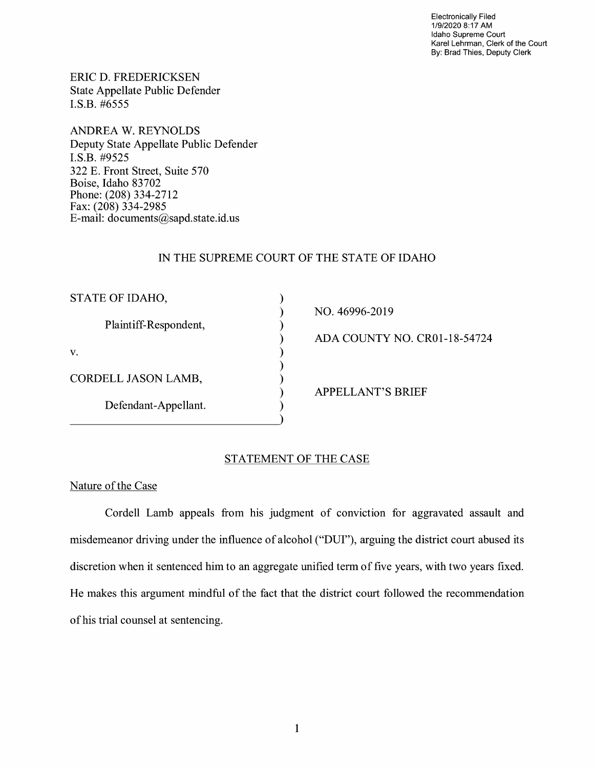Electronically Filed 1/9/2020 8:17 AM Idaho Supreme Court Karel Lehrman, Clerk of the Court By: Brad Thies, Deputy Clerk

ERIC D. FREDERICKSEN State Appellate Public Defender I.S.B. #6555

ANDREA W. REYNOLDS Deputy State Appellate Public Defender I.S.B. #9525 322 E. Front Street, Suite 570 Boise, Idaho 83702 Phone: (208) 334-2712 Fax: (208) 334-2985 E-mail: documents@sapd.state.id. us

### IN THE SUPREME COURT OF THE STATE OF IDAHO

) ) ) ) ) ) ) ) )

| STATE OF IDAHO,       |
|-----------------------|
| Plaintiff-Respondent, |
| V.                    |
| CORDELL JASON LAMB,   |
| Defendant-Appellant.  |

NO. 46996-2019

ADA COUNTY NO. CR0l-18-54724

APPELLANT'S BRIEF

#### STATEMENT OF THE CASE

### Nature of the Case

Cordell Lamb appeals from his judgment of conviction for aggravated assault and misdemeanor driving under the influence of alcohol ("DUI"), arguing the district court abused its discretion when it sentenced him to an aggregate unified term of five years, with two years fixed. He makes this argument mindful of the fact that the district court followed the recommendation of his trial counsel at sentencing.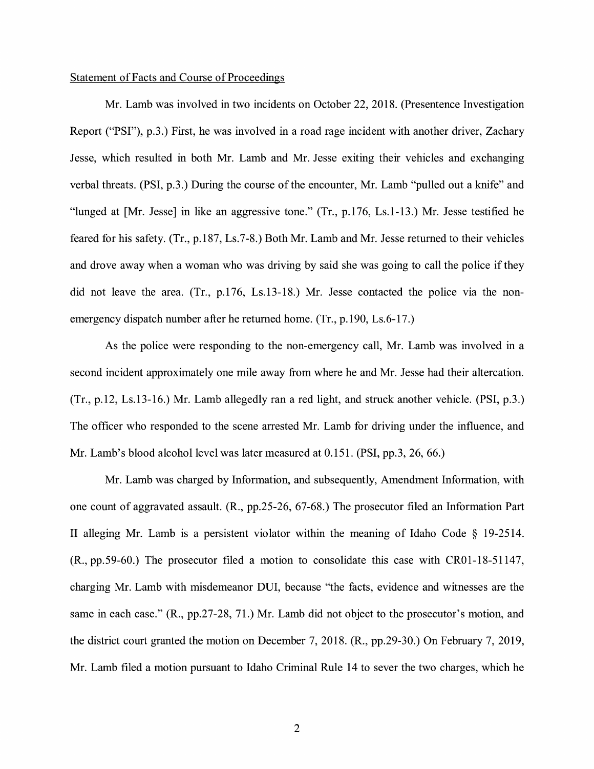#### Statement of Facts and Course of Proceedings

Mr. Lamb was involved in two incidents on October 22, 2018. (Presentence Investigation Report ("PSI"), p.3.) First, he was involved in a road rage incident with another driver, Zachary Jesse, which resulted in both Mr. Lamb and Mr. Jesse exiting their vehicles and exchanging verbal threats. (PSI, p.3.) During the course of the encounter, Mr. Lamb "pulled out a knife" and "lunged at [Mr. Jesse] in like an aggressive tone." (Tr., p.176, Ls.1-13.) Mr. Jesse testified he feared for his safety. (Tr., p.187, Ls.7-8.) Both Mr. Lamb and Mr. Jesse returned to their vehicles and drove away when a woman who was driving by said she was going to call the police if they did not leave the area. (Tr., p.176, Ls.13-18.) Mr. Jesse contacted the police via the nonemergency dispatch number after he returned home. (Tr., p.190, Ls.6-17.)

As the police were responding to the non-emergency call, Mr. Lamb was involved in a second incident approximately one mile away from where he and Mr. Jesse had their altercation. (Tr., p.12, Ls.13-16.) Mr. Lamb allegedly ran a red light, and struck another vehicle. (PSI, p.3.) The officer who responded to the scene arrested Mr. Lamb for driving under the influence, and Mr. Lamb's blood alcohol level was later measured at 0.151. (PSI, pp.3, 26, 66.)

Mr. Lamb was charged by Information, and subsequently, Amendment Information, with one count of aggravated assault. **(R.,** pp.25-26, 67-68.) The prosecutor filed an Information Part II alleging Mr. Lamb is a persistent violator within the meaning of Idaho Code § 19-2514. (R., pp.59-60.) The prosecutor filed a motion to consolidate this case with CR0l-18-51147, charging Mr. Lamb with misdemeanor DUI, because "the facts, evidence and witnesses are the same in each case." (R., pp.27-28, 71.) Mr. Lamb did not object to the prosecutor's motion, and the district court granted the motion on December 7, 2018. (R., pp.29-30.) On February 7, 2019, Mr. Lamb filed a motion pursuant to Idaho Criminal Rule 14 to sever the two charges, which he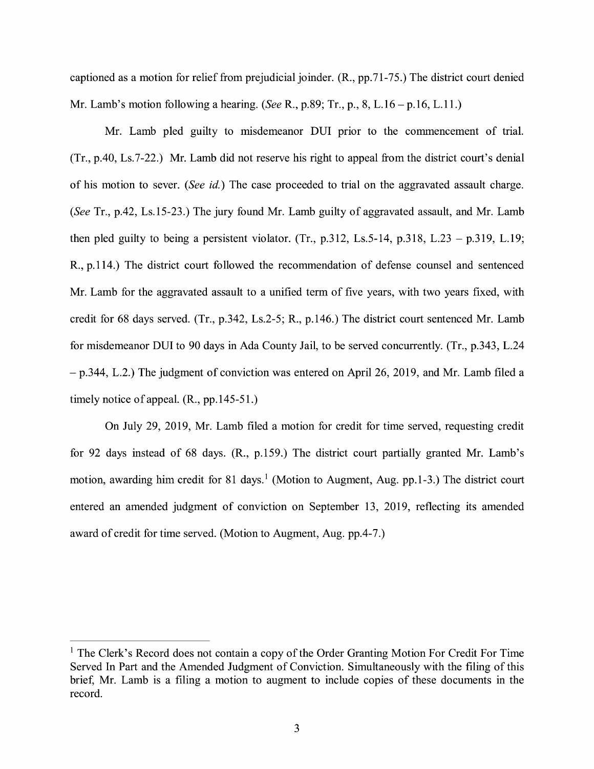captioned as a motion for relief from prejudicial joinder. (R., pp.71-75.) The district court denied Mr. Lamb's motion following a hearing. *(See* R., p.89; Tr., p., 8, L.16-p.16, L.11.)

Mr. Lamb pled guilty to misdemeanor DUI prior to the commencement of trial. (Tr., p.40, Ls.7-22.) Mr. Lamb did not reserve his right to appeal from the district court's denial of his motion to sever. *(See* id.) The case proceeded to trial on the aggravated assault charge. *(See* Tr., p.42, Ls.15-23.) The jury found Mr. Lamb guilty of aggravated assault, and Mr. Lamb then pled guilty to being a persistent violator. (Tr., p.312, Ls.5-14, p.318, L.23 – p.319, L.19; R., p.114.) The district court followed the recommendation of defense counsel and sentenced Mr. Lamb for the aggravated assault to a unified term of five years, with two years fixed, with credit for 68 days served. (Tr., p.342, Ls.2-5; R., p.146.) The district court sentenced Mr. Lamb for misdemeanor DUI to 90 days in Ada County Jail, to be served concurrently. (Tr., p.343, L.24 - p.344, L.2.) The judgment of conviction was entered on April 26, 2019, and Mr. Lamb filed a timely notice of appeal. (R., pp.145-51.)

On July 29, 2019, Mr. Lamb filed a motion for credit for time served, requesting credit for 92 days instead of 68 days. (R., p.159.) The district court partially granted Mr. Lamb's motion, awarding him credit for 81 days.<sup>1</sup> (Motion to Augment, Aug. pp.1-3.) The district court entered an amended judgment of conviction on September 13, 2019, reflecting its amended award of credit for time served. (Motion to Augment, Aug. pp.4-7.)

 $<sup>1</sup>$  The Clerk's Record does not contain a copy of the Order Granting Motion For Credit For Time</sup> Served In Part and the Amended Judgment of Conviction. Simultaneously with the filing of this brief, Mr. Lamb is a filing a motion to augment to include copies of these documents in the record.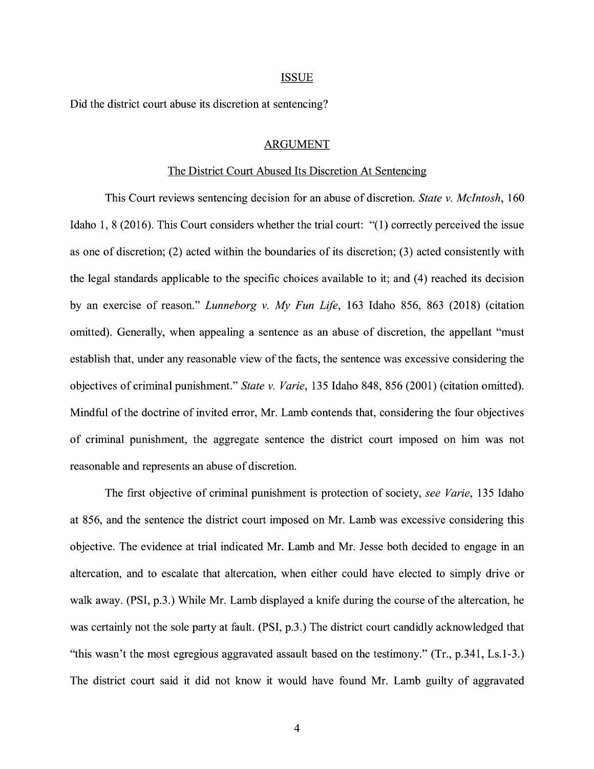#### ISSUE

Did the district court abuse its discretion at sentencing?

#### ARGUMENT

#### The District Court Abused Its Discretion At Sentencing

This Court reviews sentencing decision for an abuse of discretion. *State v. McIntosh,* 160 Idaho 1, 8 (2016). This Court considers whether the trial court: "(I) correctly perceived the issue as one of discretion; (2) acted within the boundaries of its discretion; (3) acted consistently with the legal standards applicable to the specific choices available to it; and (4) reached its decision by an exercise of reason." *Lunneborg v. My Fun Life,* 163 Idaho 856, 863 (2018) (citation omitted). Generally, when appealing a sentence as an abuse of discretion, the appellant "must establish that, under any reasonable view of the facts, the sentence was excessive considering the objectives of criminal punishment." *State v. Varie,* 135 Idaho 848, 856 (2001) (citation omitted). Mindful of the doctrine of invited error, Mr. Lamb contends that, considering the four objectives of criminal punishment, the aggregate sentence the district court imposed on him was not reasonable and represents an abuse of discretion.

The first objective of criminal punishment is protection of society, *see Varie,* 135 Idaho at 856, and the sentence the district court imposed on Mr. Lamb was excessive considering this objective. The evidence at trial indicated Mr. Lamb and Mr. Jesse both decided to engage in an altercation, and to escalate that altercation, when either could have elected to simply drive or walk away. (PSI, p.3.) While Mr. Lamb displayed a knife during the course of the altercation, he was certainly not the sole party at fault. (PSI, p.3.) The district court candidly acknowledged that "this wasn't the most egregious aggravated assault based on the testimony." (Tr., p.341, Ls.1-3.) The district court said it did not know it would have found Mr. Lamb guilty of aggravated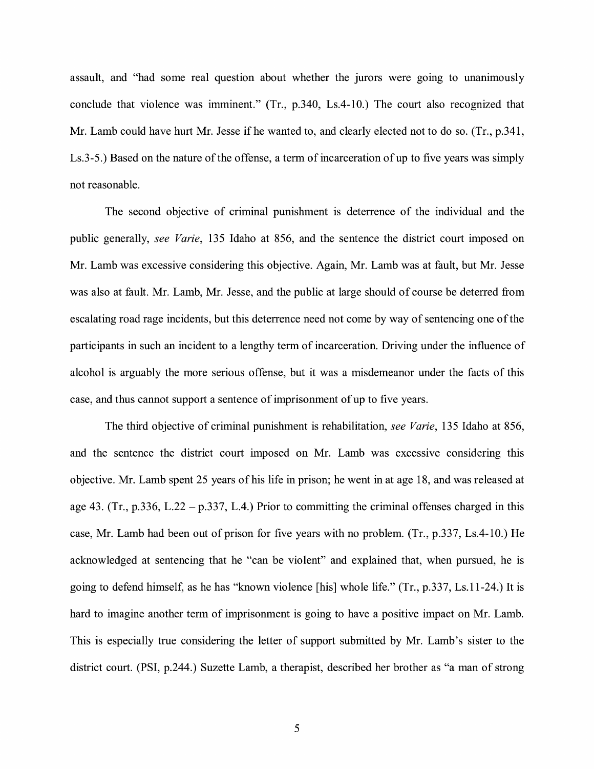assault, and "had some real question about whether the jurors were going to unanimously conclude that violence was imminent." (Tr., p.340, Ls.4-10.) The court also recognized that Mr. Lamb could have hurt Mr. Jesse if he wanted to, and clearly elected not to do so. (Tr., p.341, Ls.3-5.) Based on the nature of the offense, a term of incarceration of up to five years was simply not reasonable.

The second objective of criminal punishment is deterrence of the individual and the public generally, *see Varie,* 135 Idaho at 856, and the sentence the district court imposed on Mr. Lamb was excessive considering this objective. Again, Mr. Lamb was at fault, but Mr. Jesse was also at fault. Mr. Lamb, Mr. Jesse, and the public at large should of course be deterred from escalating road rage incidents, but this deterrence need not come by way of sentencing one of the participants in such an incident to a lengthy term of incarceration. Driving under the influence of alcohol is arguably the more serious offense, but it was a misdemeanor under the facts of this case, and thus cannot support a sentence of imprisonment of up to five years.

The third objective of criminal punishment is rehabilitation, *see Varie,* 135 Idaho at 856, and the sentence the district court imposed on Mr. Lamb was excessive considering this objective. Mr. Lamb spent 25 years of his life in prison; he went in at age 18, and was released at age 43. (Tr., p.336, L.22 - p.337, L.4.) Prior to committing the criminal offenses charged in this case, Mr. Lamb had been out of prison for five years with no problem. (Tr., p.337, Ls.4-10.) He acknowledged at sentencing that he "can be violent" and explained that, when pursued, he is going to defend himself, as he has "known violence [his] whole life." (Tr., p.337, Ls.11-24.) It is hard to imagine another term of imprisonment is going to have a positive impact on Mr. Lamb. This is especially true considering the letter of support submitted by Mr. Lamb's sister to the district court. (PSI, p.244.) Suzette Lamb, a therapist, described her brother as "a man of strong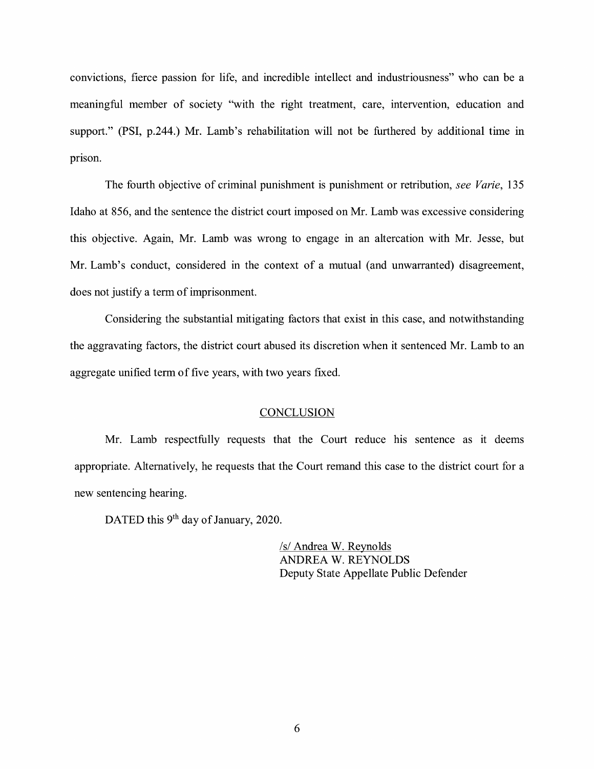convictions, fierce passion for life, and incredible intellect and industriousness" who can be a meaningful member of society ''with the right treatment, care, intervention, education and support." (PSI, p.244.) Mr. Lamb's rehabilitation will not be furthered by additional time in prison.

The fourth objective of criminal punishment is punishment or retribution, *see Varie,* 135 Idaho at 856, and the sentence the district court imposed on Mr. Lamb was excessive considering this objective. Again, Mr. Lamb was wrong to engage in an altercation with Mr. Jesse, but Mr. Lamb's conduct, considered in the context of a mutual (and unwarranted) disagreement, does not justify a term of imprisonment.

Considering the substantial mitigating factors that exist in this case, and notwithstanding the aggravating factors, the district court abused its discretion when it sentenced Mr. Lamb to an aggregate unified term of five years, with two years fixed.

#### **CONCLUSION**

Mr. Lamb respectfully requests that the Court reduce his sentence as it deems appropriate. Alternatively, he requests that the Court remand this case to the district court for a new sentencing hearing.

DATED this 9<sup>th</sup> day of January, 2020.

/s/ Andrea W. Reynolds ANDREA W. REYNOLDS Deputy State Appellate Public Defender